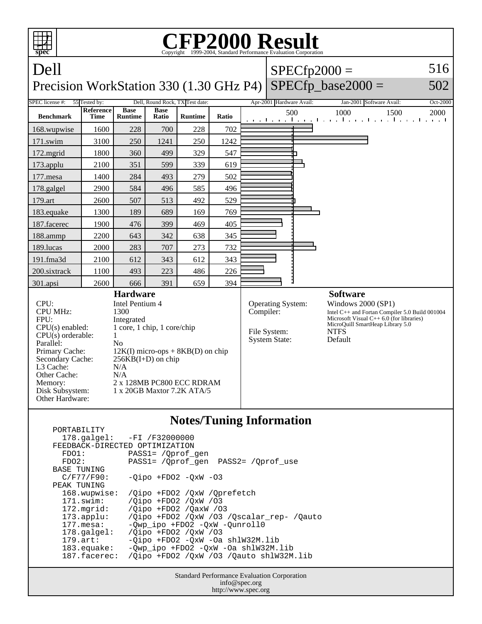| <b>CFP2000 Result</b><br>Copyright ©1999-2004, Standard Performance Evaluation Corporation<br>spec                                                                                                                                                                                                                                  |                          |                               |                                                                                                                                                         |                                                                        |       |  |                                                                                                                                                                                                    |     |                                                                            |          |
|-------------------------------------------------------------------------------------------------------------------------------------------------------------------------------------------------------------------------------------------------------------------------------------------------------------------------------------|--------------------------|-------------------------------|---------------------------------------------------------------------------------------------------------------------------------------------------------|------------------------------------------------------------------------|-------|--|----------------------------------------------------------------------------------------------------------------------------------------------------------------------------------------------------|-----|----------------------------------------------------------------------------|----------|
| Dell                                                                                                                                                                                                                                                                                                                                |                          |                               |                                                                                                                                                         |                                                                        |       |  | $SPECfp2000 =$                                                                                                                                                                                     |     |                                                                            | 516      |
| $SPECfp\_base2000 =$<br>Precision WorkStation 330 (1.30 GHz P4)                                                                                                                                                                                                                                                                     |                          |                               |                                                                                                                                                         |                                                                        |       |  |                                                                                                                                                                                                    |     | 502                                                                        |          |
| <b>SPEC</b> license #:                                                                                                                                                                                                                                                                                                              | 55 Tested by:            |                               |                                                                                                                                                         | Dell, Round Rock, TX Test date:                                        |       |  | Apr-2001 Hardware Avail:                                                                                                                                                                           |     | Jan-2001 Software Avail:                                                   | Oct-2000 |
| <b>Benchmark</b>                                                                                                                                                                                                                                                                                                                    | <b>Reference</b><br>Time | <b>Base</b><br><b>Runtime</b> | <b>Base</b><br>Ratio                                                                                                                                    | <b>Runtime</b>                                                         | Ratio |  |                                                                                                                                                                                                    | 500 | 1000<br>1500<br>and the medical contract of a medical contract contract of | 2000     |
| 168.wupwise                                                                                                                                                                                                                                                                                                                         | 1600                     | 228                           | 700                                                                                                                                                     | 228                                                                    | 702   |  |                                                                                                                                                                                                    |     |                                                                            |          |
| 171.swim                                                                                                                                                                                                                                                                                                                            | 3100                     | 250                           | 1241                                                                                                                                                    | 250                                                                    | 1242  |  |                                                                                                                                                                                                    |     |                                                                            |          |
| 172.mgrid                                                                                                                                                                                                                                                                                                                           | 1800                     | 360                           | 499                                                                                                                                                     | 329                                                                    | 547   |  |                                                                                                                                                                                                    |     |                                                                            |          |
| 173.applu                                                                                                                                                                                                                                                                                                                           | 2100                     | 351                           | 599                                                                                                                                                     | 339                                                                    | 619   |  |                                                                                                                                                                                                    |     |                                                                            |          |
| 177.mesa                                                                                                                                                                                                                                                                                                                            | 1400                     | 284                           | 493                                                                                                                                                     | 279                                                                    | 502   |  |                                                                                                                                                                                                    |     |                                                                            |          |
| 178.galgel                                                                                                                                                                                                                                                                                                                          | 2900                     | 584                           | 496                                                                                                                                                     | 585                                                                    | 496   |  |                                                                                                                                                                                                    |     |                                                                            |          |
| 179.art                                                                                                                                                                                                                                                                                                                             | 2600                     | 507                           | 513                                                                                                                                                     | 492                                                                    | 529   |  |                                                                                                                                                                                                    |     |                                                                            |          |
| 183.equake                                                                                                                                                                                                                                                                                                                          | 1300                     | 189                           | 689                                                                                                                                                     | 169                                                                    | 769   |  |                                                                                                                                                                                                    |     |                                                                            |          |
| 187.facerec                                                                                                                                                                                                                                                                                                                         | 1900                     | 476                           | 399                                                                                                                                                     | 469                                                                    | 405   |  |                                                                                                                                                                                                    |     |                                                                            |          |
| 188.ammp                                                                                                                                                                                                                                                                                                                            | 2200                     | 643                           | 342                                                                                                                                                     | 638                                                                    | 345   |  |                                                                                                                                                                                                    |     |                                                                            |          |
| 189.lucas                                                                                                                                                                                                                                                                                                                           | 2000                     | 283                           | 707                                                                                                                                                     | 273                                                                    | 732   |  |                                                                                                                                                                                                    |     |                                                                            |          |
| 191.fma3d                                                                                                                                                                                                                                                                                                                           | 2100                     | 612                           | 343                                                                                                                                                     | 612                                                                    | 343   |  |                                                                                                                                                                                                    |     |                                                                            |          |
| 200.sixtrack                                                                                                                                                                                                                                                                                                                        | 1100                     | 493                           | 223                                                                                                                                                     | 486                                                                    | 226   |  |                                                                                                                                                                                                    |     |                                                                            |          |
| 301.apsi                                                                                                                                                                                                                                                                                                                            | 2600                     | 666                           | 391                                                                                                                                                     | 659                                                                    | 394   |  |                                                                                                                                                                                                    |     |                                                                            |          |
| <b>Hardware</b><br>CPU:<br>Intel Pentium 4<br><b>CPU MHz:</b><br>1300<br>FPII:<br>Integrated<br>CPU(s) enabled:<br>$CPU(s)$ orderable:<br>$\mathbf{1}$<br>Parallel:<br>N <sub>0</sub><br>Primary Cache:<br>Secondary Cache:<br>L <sub>3</sub> Cache:<br>N/A<br>Other Cache:<br>N/A<br>Memory:<br>Disk Subsystem:<br>Other Hardware: |                          |                               | 1 core, 1 chip, 1 core/chip<br>$12K(I)$ micro-ops + $8KB(D)$ on chip<br>$256KB(I+D)$ on chip<br>2 x 128MB PC800 ECC RDRAM<br>1 x 20GB Maxtor 7.2K ATA/5 | Operating System:<br>Compiler:<br>File System:<br><b>System State:</b> |       |  | <b>Software</b><br>Windows 2000 (SP1)<br>Intel C++ and Fortan Compiler 5.0 Build 001004<br>Microsoft Visual $C++6.0$ (for libraries)<br>MicroQuill SmartHeap Library 5.0<br><b>NTFS</b><br>Default |     |                                                                            |          |
| $\mathbf{M}_{\alpha}$ for $\mathbf{F}_{\alpha}$ is $\mathbf{L}_{\alpha}$ $\mathbf{L}_{\alpha}$ is $\mathbf{L}_{\alpha}$                                                                                                                                                                                                             |                          |                               |                                                                                                                                                         |                                                                        |       |  |                                                                                                                                                                                                    |     |                                                                            |          |

## **Notes/Tuning Information**

| PORTABILITY<br>FEEDBACK-DIRECTED OPTIMIZATION | 178.galgel: -FI /F32000000                |
|-----------------------------------------------|-------------------------------------------|
| FDO1:                                         | PASS1= /Oprof gen                         |
| FDO2:                                         |                                           |
| BASE TUNING                                   |                                           |
| C/F77/F90:                                    | $-Oipo$ +FDO2 $-OxW$ -O3                  |
| PEAK TUNING                                   |                                           |
| 168.wupwise:                                  | /Qipo +FD02 /QxW /Qprefetch               |
| 171.swim:                                     | /Oipo +FDO2 /OxW /03                      |
| 172.mgrid:                                    | /Oipo +FD02 /OaxW /03                     |
| 173.append:                                   | /Oipo +FDO2 /OxW /O3 /Oscalar rep- /Oauto |
| $177.\text{mesa}$ :                           | -Owp ipo +FDO2 -OxW -Ounroll0             |
| $178.\text{qalgel}$ :                         | /Oipo +FD02 /OxW /03                      |
| $179.\text{art}$ :                            | -Oipo +FDO2 -OxW -Oa shlW32M.lib          |
| $183$ .equake:                                | -Qwp_ipo +FDO2 -QxW -Oa shlW32M.lib       |
| 187.facerec:                                  | /Oipo +FDO2 /OxW /O3 /Oauto shlW32M.lib   |

Standard Performance Evaluation Corporation info@spec.org http://www.spec.org